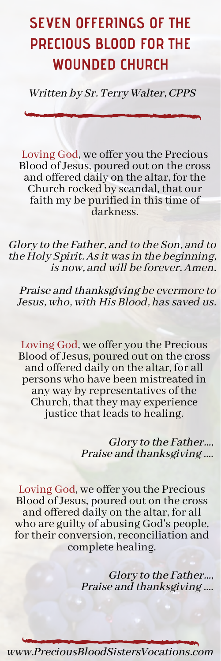## **SEVEN OFFERINGS OF THE PRECIOUS BLOOD FOR THE WOUNDED CHURCH**

Written by Sr. Terry Walter, CPPS

Loving God, we offer you the Precious Blood of Jesus, poured out on the cross and offered daily on the altar, for the Church rocked by scandal, that our faith my be purified in thistime of darkness.

Glory to the Father, and to the Son, and to the Holy Spirit. As it was in the beginning, is now, and will be forever. Amen.

Praise and thanksgiving be evermore to Jesus, who, with His Blood, has saved us.

Loving God, we offer you the Precious Blood of Jesus, poured out on the cross and offered daily on the altar, for all persons who have been mistreated in any way by representatives of the Church, that they may experience justice that leads to healing.

> Glory to the Father..., Praise and thanksgiving ....

Loving God, we offer you the Precious Blood of Jesus, poured out on the cross and offered daily on the altar, for all who are guilty of abusing God's people, for their conversion, reconciliation and complete healing.

> Glory to the Father..., Praise and thanksgiving ....